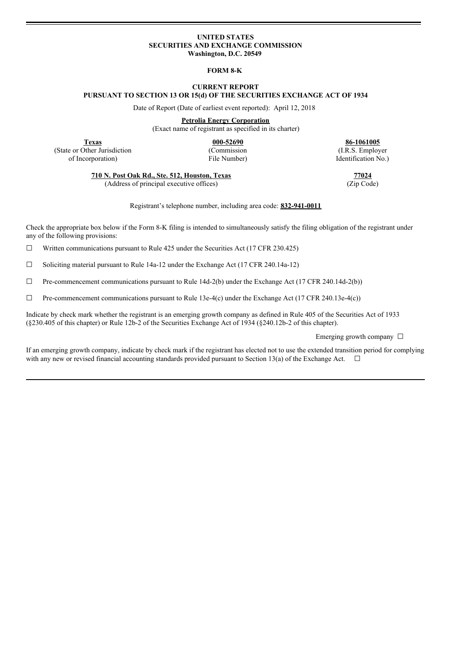#### **UNITED STATES SECURITIES AND EXCHANGE COMMISSION Washington, D.C. 20549**

### **FORM 8-K**

## **CURRENT REPORT PURSUANT TO SECTION 13 OR 15(d) OF THE SECURITIES EXCHANGE ACT OF 1934**

Date of Report (Date of earliest event reported): April 12, 2018

**Petrolia Energy Corporation**

(Exact name of registrant as specified in its charter)

(State or Other Jurisdiction (Commission (I.R.S. Employer of Incornoration) (I.R.S. Employer of Incornoration) of Incorporation) File Number) Identification No.)

**Texas 000-52690 86-1061005**

**710 N. Post Oak Rd., Ste. 512, Houston, Texas 77024**

(Address of principal executive offices) (Zip Code)

Registrant's telephone number, including area code: **832-941-0011**

Check the appropriate box below if the Form 8-K filing is intended to simultaneously satisfy the filing obligation of the registrant under any of the following provisions:

 $\Box$  Written communications pursuant to Rule 425 under the Securities Act (17 CFR 230.425)

 $\Box$  Soliciting material pursuant to Rule 14a-12 under the Exchange Act (17 CFR 240.14a-12)

☐ Pre-commencement communications pursuant to Rule 14d-2(b) under the Exchange Act (17 CFR 240.14d-2(b))

 $\Box$  Pre-commencement communications pursuant to Rule 13e-4(c) under the Exchange Act (17 CFR 240.13e-4(c))

Indicate by check mark whether the registrant is an emerging growth company as defined in Rule 405 of the Securities Act of 1933 (§230.405 of this chapter) or Rule 12b-2 of the Securities Exchange Act of 1934 (§240.12b-2 of this chapter).

Emerging growth company  $\Box$ 

If an emerging growth company, indicate by check mark if the registrant has elected not to use the extended transition period for complying with any new or revised financial accounting standards provided pursuant to Section 13(a) of the Exchange Act.  $\Box$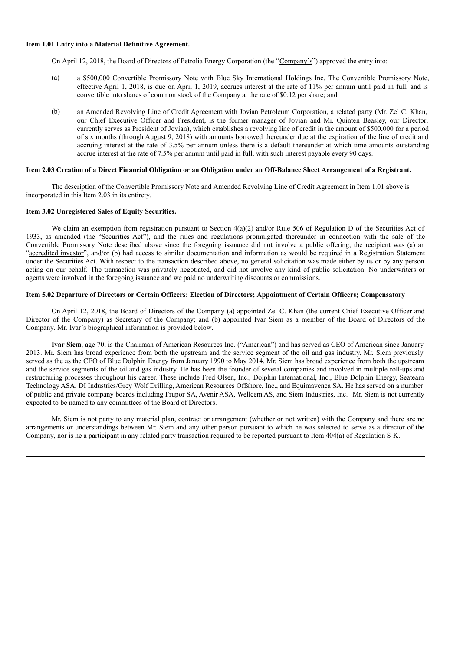#### **Item 1.01 Entry into a Material Definitive Agreement.**

On April 12, 2018, the Board of Directors of Petrolia Energy Corporation (the "Company's") approved the entry into:

- (a) a \$500,000 Convertible Promissory Note with Blue Sky International Holdings Inc. The Convertible Promissory Note, effective April 1, 2018, is due on April 1, 2019, accrues interest at the rate of 11% per annum until paid in full, and is convertible into shares of common stock of the Company at the rate of \$0.12 per share; and
- (b) an Amended Revolving Line of Credit Agreement with Jovian Petroleum Corporation, a related party (Mr. Zel C. Khan, our Chief Executive Officer and President, is the former manager of Jovian and Mr. Quinten Beasley, our Director, currently serves as President of Jovian), which establishes a revolving line of credit in the amount of \$500,000 for a period of six months (through August 9, 2018) with amounts borrowed thereunder due at the expiration of the line of credit and accruing interest at the rate of 3.5% per annum unless there is a default thereunder at which time amounts outstanding accrue interest at the rate of 7.5% per annum until paid in full, with such interest payable every 90 days.

### Item 2.03 Creation of a Direct Financial Obligation or an Obligation under an Off-Balance Sheet Arrangement of a Registrant.

The description of the Convertible Promissory Note and Amended Revolving Line of Credit Agreement in Item 1.01 above is incorporated in this Item 2.03 in its entirety.

#### **Item 3.02 Unregistered Sales of Equity Securities.**

We claim an exemption from registration pursuant to Section 4(a)(2) and/or Rule 506 of Regulation D of the Securities Act of 1933, as amended (the "Securities Act"), and the rules and regulations promulgated thereunder in connection with the sale of the Convertible Promissory Note described above since the foregoing issuance did not involve a public offering, the recipient was (a) an "accredited investor", and/or (b) had access to similar documentation and information as would be required in a Registration Statement under the Securities Act. With respect to the transaction described above, no general solicitation was made either by us or by any person acting on our behalf. The transaction was privately negotiated, and did not involve any kind of public solicitation. No underwriters or agents were involved in the foregoing issuance and we paid no underwriting discounts or commissions.

### Item 5.02 Departure of Directors or Certain Officers; Election of Directors; Appointment of Certain Officers; Compensatory

On April 12, 2018, the Board of Directors of the Company (a) appointed Zel C. Khan (the current Chief Executive Officer and Director of the Company) as Secretary of the Company; and (b) appointed Ivar Siem as a member of the Board of Directors of the Company. Mr. Ivar's biographical information is provided below.

**Ivar Siem**, age 70, is the Chairman of American Resources Inc. ("American") and has served as CEO of American since January 2013. Mr. Siem has broad experience from both the upstream and the service segment of the oil and gas industry. Mr. Siem previously served as the as the CEO of Blue Dolphin Energy from January 1990 to May 2014. Mr. Siem has broad experience from both the upstream and the service segments of the oil and gas industry. He has been the founder of several companies and involved in multiple roll-ups and restructuring processes throughout his career. These include Fred Olsen, Inc., Dolphin International, Inc., Blue Dolphin Energy, Seateam Technology ASA, DI Industries/Grey Wolf Drilling, American Resources Offshore, Inc., and Equimavenca SA. He has served on a number of public and private company boards including Frupor SA, Avenir ASA, Wellcem AS, and Siem Industries, Inc. Mr. Siem is not currently expected to be named to any committees of the Board of Directors.

Mr. Siem is not party to any material plan, contract or arrangement (whether or not written) with the Company and there are no arrangements or understandings between Mr. Siem and any other person pursuant to which he was selected to serve as a director of the Company, nor is he a participant in any related party transaction required to be reported pursuant to Item 404(a) of Regulation S-K.